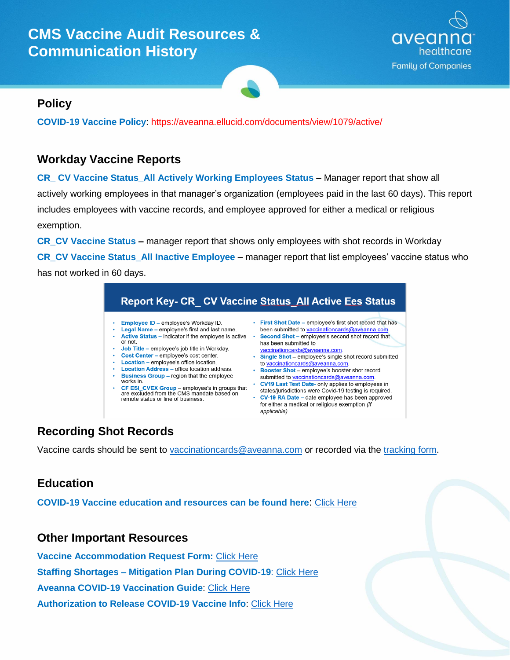# **CMS Vaccine Audit Resources & Communication History**



## **Policy**

**COVID-19 Vaccine Policy**: https://aveanna.ellucid.com/documents/view/1079/active/

#### **Workday Vaccine Reports**

**CR\_ CV Vaccine Status\_All Actively Working Employees Status –** Manager report that show all actively working employees in that manager's organization (employees paid in the last 60 days). This report includes employees with vaccine records, and employee approved for either a medical or religious exemption.

**CR\_CV Vaccine Status –** manager report that shows only employees with shot records in Workday **CR\_CV Vaccine Status\_All Inactive Employee –** manager report that list employees' vaccine status who has not worked in 60 days.

|                       |                                                                                                                                                                                                                                                                                                                                                                                                                                                                                                                                                                            |   | <b>Report Key- CR_ CV Vaccine Status_All Active Ees Status</b>                                                                                                                                                                                                                                                                                                                                                                                                                                                                                                                                                                                                               |
|-----------------------|----------------------------------------------------------------------------------------------------------------------------------------------------------------------------------------------------------------------------------------------------------------------------------------------------------------------------------------------------------------------------------------------------------------------------------------------------------------------------------------------------------------------------------------------------------------------------|---|------------------------------------------------------------------------------------------------------------------------------------------------------------------------------------------------------------------------------------------------------------------------------------------------------------------------------------------------------------------------------------------------------------------------------------------------------------------------------------------------------------------------------------------------------------------------------------------------------------------------------------------------------------------------------|
| ٠<br>٠<br>٠<br>٠<br>٠ | <b>Employee ID - employee's Workday ID.</b><br><b>Legal Name – employee's first and last name.</b><br>Active Status – indicator if the employee is active<br>or not.<br><b>Job Title - employee's job title in Workday.</b><br>Cost Center - employee's cost center.<br>Location - employee's office location.<br><b>Location Address - office location address.</b><br><b>Business Group - region that the employee</b><br>works in.<br>CF ESI CVEX Group - employee's in groups that<br>are excluded from the CMS mandate based on<br>remote status or line of business. | ۰ | • First Shot Date – employee's first shot record that has<br>been submitted to vaccinationcards@aveanna.com.<br>Second Shot - employee's second shot record that<br>has been submitted to<br>vaccinationcards@aveanna.com.<br><b>Single Shot</b> – employee's single shot record submitted<br>to vaccinationcards@aveanna.com.<br><b>Booster Shot</b> – employee's booster shot record<br>submitted to vaccinationcards@aveanna.com.<br>CV19 Last Test Date- only applies to employees in<br>states/jurisdictions were Covid-19 testing is required.<br>• CV-19 RA Date – date employee has been approved<br>for either a medical or religious exemption (if<br>applicable). |

## **Recording Shot Records**

Vaccine cards should be sent to [vaccinationcards@aveanna.com](mailto:vaccinationcards@aveanna.com) or recorded via the [tracking form.](https://forms.office.com/Pages/ResponsePage.aspx?id=--ZEotiDoUOtd-YUS0rmc03lkFMpUtxLiWZ-_56Q4Y1UQTlCRFdHUkgwTU0xSTAySTVGQ05WSkgwRS4u)

## **Education**

**COVID-19 Vaccine education and resources can be found here**: [Click Here](http://myaveanna.net/coronavirus-updates/)

#### **Other Important Resources**

**Vaccine Accommodation Request Form:** [Click Here](http://myaveanna.net/wp-content/uploads/2021/01/Authorization-to-Release-CV-Vaccination-info_Fillable-Form.pdf) **Staffing Shortages – Mitigation Plan During COVID-19**: [Click Here](https://aveanna.ellucid.com/documents/view/1046) **Aveanna COVID-19 Vaccination Guide**: [Click Here](http://myaveanna.net/wp-content/uploads/2021/01/Aveanna-Vaccination-Guide-01122021.pdf) **Authorization to Release COVID-19 Vaccine Info**: [Click Here](http://myaveanna.net/wp-content/uploads/2021/01/Authorization-to-Release-CV-Vaccination-info_Fillable-Form.pdf)